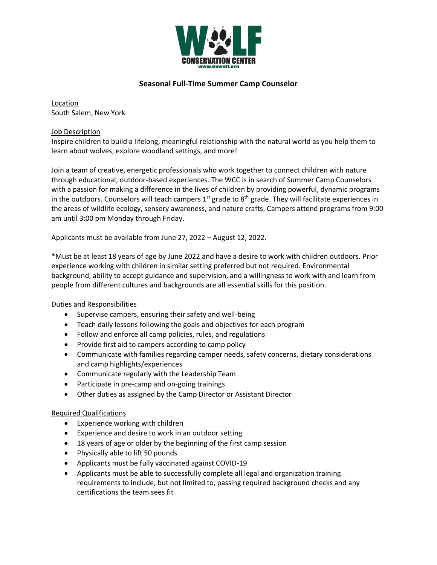

# **Seasonal Full-Time Summer Camp Counselor**

Location South Salem, New York

### Job Description

Inspire children to build a lifelong, meaningful relationship with the natural world as you help them to learn about wolves, explore woodland settings, and more!

Join a team of creative, energetic professionals who work together to connect children with nature through educational, outdoor-based experiences. The WCC is in search of Summer Camp Counselors with a passion for making a difference in the lives of children by providing powerful, dynamic programs in the outdoors. Counselors will teach campers  $1^{st}$  grade to  $8^{th}$  grade. They will facilitate experiences in the areas of wildlife ecology, sensory awareness, and nature crafts. Campers attend programs from 9:00 am until 3:00 pm Monday through Friday.

Applicants must be available from June 27, 2022 – August 12, 2022.

\*Must be at least 18 years of age by June 2022 and have a desire to work with children outdoors. Prior experience working with children in similar setting preferred but not required. Environmental background, ability to accept guidance and supervision, and a willingness to work with and learn from people from different cultures and backgrounds are all essential skills for this position.

## Duties and Responsibilities

- Supervise campers, ensuring their safety and well-being
- Teach daily lessons following the goals and objectives for each program
- Follow and enforce all camp policies, rules, and regulations
- Provide first aid to campers according to camp policy
- Communicate with families regarding camper needs, safety concerns, dietary considerations and camp highlights/experiences
- Communicate regularly with the Leadership Team
- Participate in pre-camp and on-going trainings
- Other duties as assigned by the Camp Director or Assistant Director

#### Required Qualifications

- Experience working with children
- Experience and desire to work in an outdoor setting
- 18 years of age or older by the beginning of the first camp session
- Physically able to lift 50 pounds
- Applicants must be fully vaccinated against COVID-19
- Applicants must be able to successfully complete all legal and organization training requirements to include, but not limited to, passing required background checks and any certifications the team sees fit